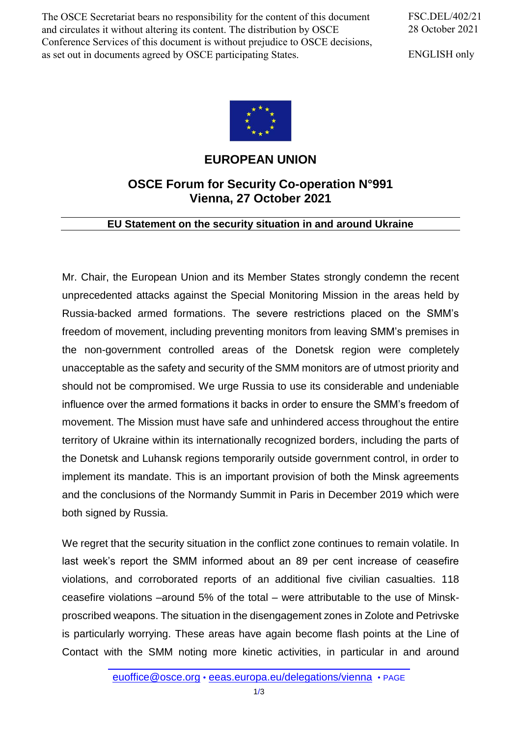The OSCE Secretariat bears no responsibility for the content of this document and circulates it without altering its content. The distribution by OSCE Conference Services of this document is without prejudice to OSCE decisions, as set out in documents agreed by OSCE participating States.

FSC.DEL/402/21 28 October 2021

ENGLISH only



## **EUROPEAN UNION**

## **OSCE Forum for Security Co-operation N°991 Vienna, 27 October 2021**

## **EU Statement on the security situation in and around Ukraine**

Mr. Chair, the European Union and its Member States strongly condemn the recent unprecedented attacks against the Special Monitoring Mission in the areas held by Russia-backed armed formations. The severe restrictions placed on the SMM's freedom of movement, including preventing monitors from leaving SMM's premises in the non-government controlled areas of the Donetsk region were completely unacceptable as the safety and security of the SMM monitors are of utmost priority and should not be compromised. We urge Russia to use its considerable and undeniable influence over the armed formations it backs in order to ensure the SMM's freedom of movement. The Mission must have safe and unhindered access throughout the entire territory of Ukraine within its internationally recognized borders, including the parts of the Donetsk and Luhansk regions temporarily outside government control, in order to implement its mandate. This is an important provision of both the Minsk agreements and the conclusions of the Normandy Summit in Paris in December 2019 which were both signed by Russia.

We regret that the security situation in the conflict zone continues to remain volatile. In last week's report the SMM informed about an 89 per cent increase of ceasefire violations, and corroborated reports of an additional five civilian casualties. 118 ceasefire violations –around 5% of the total – were attributable to the use of Minskproscribed weapons. The situation in the disengagement zones in Zolote and Petrivske is particularly worrying. These areas have again become flash points at the Line of Contact with the SMM noting more kinetic activities, in particular in and around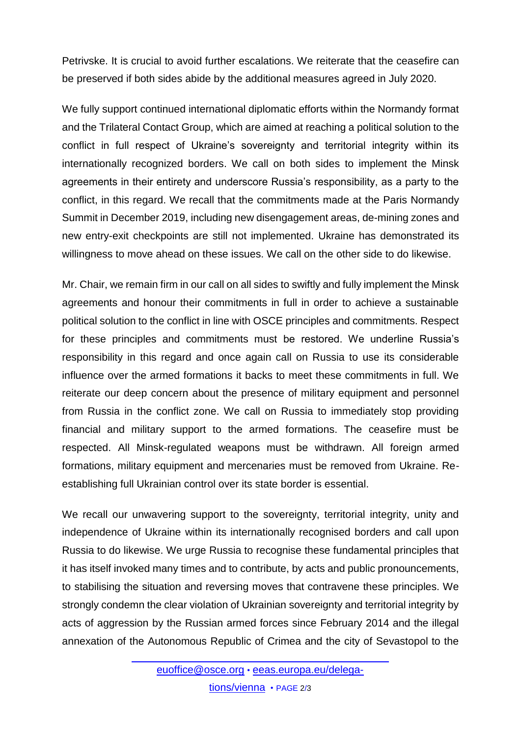Petrivske. It is crucial to avoid further escalations. We reiterate that the ceasefire can be preserved if both sides abide by the additional measures agreed in July 2020.

We fully support continued international diplomatic efforts within the Normandy format and the Trilateral Contact Group, which are aimed at reaching a political solution to the conflict in full respect of Ukraine's sovereignty and territorial integrity within its internationally recognized borders. We call on both sides to implement the Minsk agreements in their entirety and underscore Russia's responsibility, as a party to the conflict, in this regard. We recall that the commitments made at the Paris Normandy Summit in December 2019, including new disengagement areas, de-mining zones and new entry-exit checkpoints are still not implemented. Ukraine has demonstrated its willingness to move ahead on these issues. We call on the other side to do likewise.

Mr. Chair, we remain firm in our call on all sides to swiftly and fully implement the Minsk agreements and honour their commitments in full in order to achieve a sustainable political solution to the conflict in line with OSCE principles and commitments. Respect for these principles and commitments must be restored. We underline Russia's responsibility in this regard and once again call on Russia to use its considerable influence over the armed formations it backs to meet these commitments in full. We reiterate our deep concern about the presence of military equipment and personnel from Russia in the conflict zone. We call on Russia to immediately stop providing financial and military support to the armed formations. The ceasefire must be respected. All Minsk-regulated weapons must be withdrawn. All foreign armed formations, military equipment and mercenaries must be removed from Ukraine. Reestablishing full Ukrainian control over its state border is essential.

We recall our unwavering support to the sovereignty, territorial integrity, unity and independence of Ukraine within its internationally recognised borders and call upon Russia to do likewise. We urge Russia to recognise these fundamental principles that it has itself invoked many times and to contribute, by acts and public pronouncements, to stabilising the situation and reversing moves that contravene these principles. We strongly condemn the clear violation of Ukrainian sovereignty and territorial integrity by acts of aggression by the Russian armed forces since February 2014 and the illegal annexation of the Autonomous Republic of Crimea and the city of Sevastopol to the